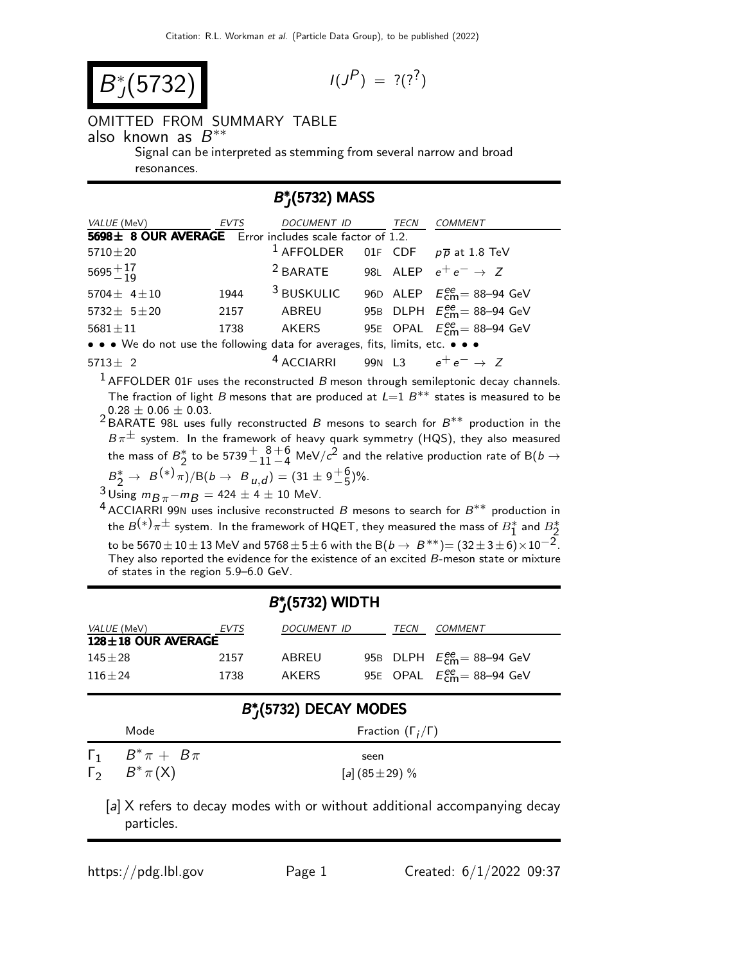$$
B_J^*(5732) \qquad \qquad \text{11}
$$

$$
I(J^P) = ?(?^?)
$$

## OMITTED FROM SUMMARY TABLE

 $\overline{\phantom{a}}$ also known as  $B^{**}$ 

Signal can be interpreted as stemming from several narrow and broad resonances.

## B\* \*(5732) MASS

| VALUE (MeV)                                                                   | EVTS | <i>DOCUMENT ID</i>                                       |  | <b>TECN</b> | COMMENT                                          |
|-------------------------------------------------------------------------------|------|----------------------------------------------------------|--|-------------|--------------------------------------------------|
| 5698± 8 OUR AVERAGE Error includes scale factor of 1.2.                       |      |                                                          |  |             |                                                  |
| $5710 \pm 20$                                                                 |      | <sup>1</sup> AFFOLDER 01F CDF $p\overline{p}$ at 1.8 TeV |  |             |                                                  |
| $5695 + 17 \over 19$                                                          |      | <sup>2</sup> BARATE 98L ALEP $e^+e^- \rightarrow Z$      |  |             |                                                  |
| 5704 $\pm$ 4 $\pm$ 10                                                         | 1944 | <sup>3</sup> BUSKULIC                                    |  |             | 96D ALEP $E_{cm}^{ee}$ = 88-94 GeV               |
| $5732 \pm 5120$                                                               | 2157 | ABREU                                                    |  |             | 95B DLPH $E_{\text{cm}}^{\text{ee}}$ = 88–94 GeV |
| $5681 \pm 11$                                                                 | 1738 | AKERS                                                    |  |             | 95E OPAL $E_{cm}^{ee}$ = 88-94 GeV               |
| • • • We do not use the following data for averages, fits, limits, etc. • • • |      |                                                          |  |             |                                                  |
| $5713 \pm 2$                                                                  |      | <sup>4</sup> ACCIARRI 99N L3 $e^+e^- \rightarrow Z$      |  |             |                                                  |

 $1$  AFFOLDER 01F uses the reconstructed B meson through semileptonic decay channels. The fraction of light B mesons that are produced at  $L=1$   $B^{**}$  states is measured to be  $0.28 \pm 0.06 \pm 0.03$ .

2 BARATE 98L uses fully reconstructed B mesons to search for  $B^{**}$  production in the  $B\pi^{\pm}$  system. In the framework of heavy quark symmetry (HQS), they also measured the mass of  $B_2^*$  to be 5739 $+$  $\frac{8+6}{11-4}$  MeV/ $c^2$  and the relative production rate of B( $b\to$ 

 $B_2^* \to B^{(*)}\pi$ /B(b  $\to B_{u,d}$ ) = (31 ± 9<sup>+6</sup><sub>0</sub>)%.

 $\frac{3}{4}$ Using  $m_{\overline{B}\pi}$ − $m_{\overline{B}}$  = 424  $\pm$  4  $\pm$  10 MeV.

4 ACCIARRI 99N uses inclusive reconstructed B mesons to search for  $B^{**}$  production in the  $B^{(*)}\pi^{\pm}$  system. In the framework of HQET, they measured the mass of  $B^*_1$  and  $B^*_2$ to be 5670  $\pm$  10  $\pm$  13 MeV and 5768  $\pm$  5  $\pm$  6 with the B( $b \to B^{**}$ ) = (32  $\pm$  3  $\pm$  6)  $\times$  10<sup>-2</sup>. They also reported the evidence for the existence of an excited  $\vec{B}$ -meson state or mixture of states in the region 5.9–6.0 GeV.

| $B_J^*(5732)$ WIDTH |                        |      |                              |  |      |                                                  |
|---------------------|------------------------|------|------------------------------|--|------|--------------------------------------------------|
|                     | <i>VALUE</i> (MeV)     | EVTS | <b>DOCUMENT ID</b>           |  | TECN | <b>COMMENT</b>                                   |
|                     | 128±18 OUR AVERAGE     |      |                              |  |      |                                                  |
| $145 \pm 28$        |                        | 2157 | ABREU                        |  |      | 95B DLPH $E_{\text{cm}}^{\text{ee}}$ = 88-94 GeV |
| $116 + 24$          |                        | 1738 | AKERS                        |  |      | 95E OPAL $E_{cm}^{ee}$ = 88-94 GeV               |
|                     |                        |      | $B^*_{I}$ (5732) DECAY MODES |  |      |                                                  |
|                     | Mode                   |      | Fraction $(\Gamma_i/\Gamma)$ |  |      |                                                  |
| $\Gamma_1$          | $B^*\pi + B\pi$        | seen |                              |  |      |                                                  |
|                     | $\Gamma_2$ $B^*\pi(X)$ |      | [a] $(85 \pm 29)$ %          |  |      |                                                  |

[a] X refers to decay modes with or without additional accompanying decay particles.